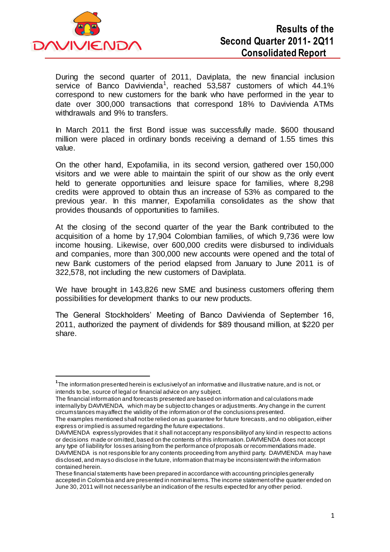

 $\overline{a}$ 

During the second quarter of 2011, Daviplata, the new financial inclusion service of Banco Davivienda<sup>1</sup>, reached 53,587 customers of which 44.1% correspond to new customers for the bank who have performed in the year to date over 300,000 transactions that correspond 18% to Davivienda ATMs withdrawals and 9% to transfers.

In March 2011 the first Bond issue was successfully made. \$600 thousand million were placed in ordinary bonds receiving a demand of 1.55 times this value.

On the other hand, Expofamilia, in its second version, gathered over 150,000 visitors and we were able to maintain the spirit of our show as the only event held to generate opportunities and leisure space for families, where 8,298 credits were approved to obtain thus an increase of 53% as compared to the previous year. In this manner, Expofamilia consolidates as the show that provides thousands of opportunities to families.

At the closing of the second quarter of the year the Bank contributed to the acquisition of a home by 17,904 Colombian families, of which 9,736 were low income housing. Likewise, over 600,000 credits were disbursed to individuals and companies, more than 300,000 new accounts were opened and the total of new Bank customers of the period elapsed from January to June 2011 is of 322,578, not including the new customers of Daviplata.

We have brought in 143,826 new SME and business customers offering them possibilities for development thanks to our new products.

The General Stockholders' Meeting of Banco Davivienda of September 16, 2011, authorized the payment of dividends for \$89 thousand million, at \$220 per share.

The financial information and forecasts presented are based on information and cal culations made internally by DAVIVIENDA, which may be subject to changes or adjustments. Any change in the current circumstances may affect the validity of the information or of the conclusions presented.

The examples mentioned shall not be relied on as guarantee for future forecasts, and no obligation, either express or implied is assumed regarding the future expectations.

DAVIVIENDA expressly provides that it shall not accept any responsibility of any kind in respect to actions or decisions made or omitted, based on the contents of this information. DAVIVIENDA does not accept any type of liability for losses arising from the performance of proposals or recommendations made. DAVIVIENDA is not responsible for any contents proceeding from any third party. DAVIVIENDA may have disclosed, and may so disclose in the future, information that may be inconsistent with the information contained herein.

**<sup>1</sup>** The information presented herein is exclusively of an informative and illustrative nature, and is not, or intends to be, source of legal or financial advice on any subject.

These financial statements have been prepared in accordance with accounting principles generally accepted in Colombia and are presented in nominal terms. The income statement of the quarter ended on June 30, 2011 will not necessarily be an indication of the results expected for any other period.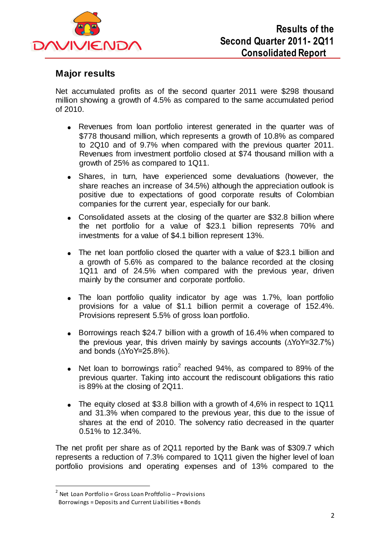

# **Major results**

Net accumulated profits as of the second quarter 2011 were \$298 thousand million showing a growth of 4.5% as compared to the same accumulated period of 2010.

- Revenues from loan portfolio interest generated in the quarter was of \$778 thousand million, which represents a growth of 10.8% as compared to 2Q10 and of 9.7% when compared with the previous quarter 2011. Revenues from investment portfolio closed at \$74 thousand million with a growth of 25% as compared to 1Q11.
- Shares, in turn, have experienced some devaluations (however, the share reaches an increase of 34.5%) although the appreciation outlook is positive due to expectations of good corporate results of Colombian companies for the current year, especially for our bank.
- Consolidated assets at the closing of the quarter are \$32.8 billion where the net portfolio for a value of \$23.1 billion represents 70% and investments for a value of \$4.1 billion represent 13%.
- The net loan portfolio closed the quarter with a value of \$23.1 billion and a growth of 5.6% as compared to the balance recorded at the closing 1Q11 and of 24.5% when compared with the previous year, driven mainly by the consumer and corporate portfolio.
- The loan portfolio quality indicator by age was 1.7%, loan portfolio provisions for a value of \$1.1 billion permit a coverage of 152.4%. Provisions represent 5.5% of gross loan portfolio.
- Borrowings reach \$24.7 billion with a growth of 16.4% when compared to the previous year, this driven mainly by savings accounts (∆YoY=32.7%) and bonds ( $\triangle$ YoY=25.8%).
- Net loan to borrowings ratio<sup>2</sup> reached 94%, as compared to 89% of the  $\bullet$ previous quarter. Taking into account the rediscount obligations this ratio is 89% at the closing of 2Q11.
- The equity closed at \$3.8 billion with a growth of 4,6% in respect to 1Q11 and 31.3% when compared to the previous year, this due to the issue of shares at the end of 2010. The solvency ratio decreased in the quarter 0.51% to 12.34%.

The net profit per share as of 2Q11 reported by the Bank was of \$309.7 which represents a reduction of 7.3% compared to 1Q11 given the higher level of loan portfolio provisions and operating expenses and of 13% compared to the

<sup>&</sup>lt;sup>2</sup> Net Loan Portfolio = Gross Loan Proftfolio – Provisions Borrowings = Deposits and Current Liabilities + Bonds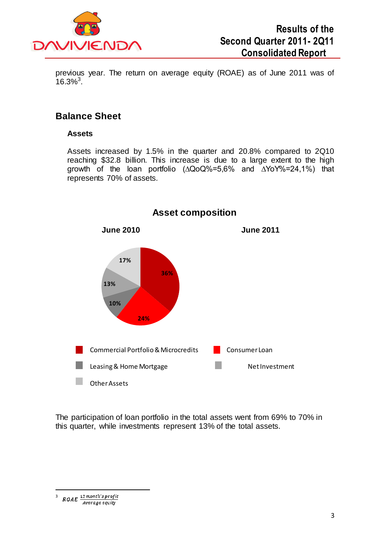

previous year. The return on average equity (ROAE) as of June 2011 was of  $16.3\%$ <sup>3</sup>.

### **Balance Sheet**

#### **Assets**

Assets increased by 1.5% in the quarter and 20.8% compared to 2Q10 reaching \$32.8 billion. This increase is due to a large extent to the high growth of the loan portfolio (∆QoQ%=5,6% and ∆YoY%=24,1%) that represents 70% of assets.



**Asset composition**

The participation of loan portfolio in the total assets went from 69% to 70% in this quarter, while investments represent 13% of the total assets.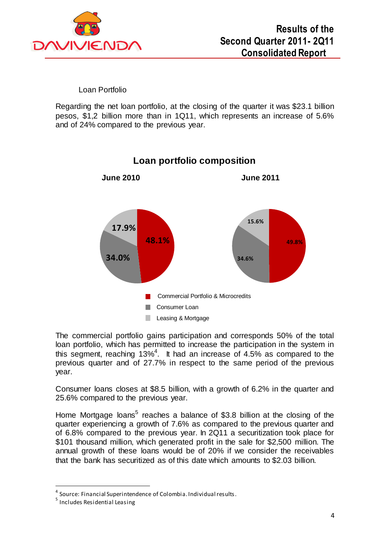

Loan Portfolio

Regarding the net loan portfolio, at the closing of the quarter it was \$23.1 billion pesos, \$1,2 billion more than in 1Q11, which represents an increase of 5.6% and of 24% compared to the previous year.



**Loan portfolio composition**

The commercial portfolio gains participation and corresponds 50% of the total loan portfolio, which has permitted to increase the participation in the system in this segment, reaching 13%<sup>4</sup>. It had an increase of 4.5% as compared to the previous quarter and of 27.7% in respect to the same period of the previous year.

Consumer loans closes at \$8.5 billion, with a growth of 6.2% in the quarter and 25.6% compared to the previous year.

Home Mortgage loans<sup>5</sup> reaches a balance of \$3.8 billion at the closing of the quarter experiencing a growth of 7.6% as compared to the previous quarter and of 6.8% compared to the previous year. In 2Q11 a securitization took place for \$101 thousand million, which generated profit in the sale for \$2,500 million. The annual growth of these loans would be of 20% if we consider the receivables that the bank has securitized as of this date which amounts to \$2.03 billion.

<sup>&</sup>lt;sup>4</sup> Source: Financial Superintendence of Colombia. Individual results.

<sup>&</sup>lt;sup>5</sup> Includes Residential Leasing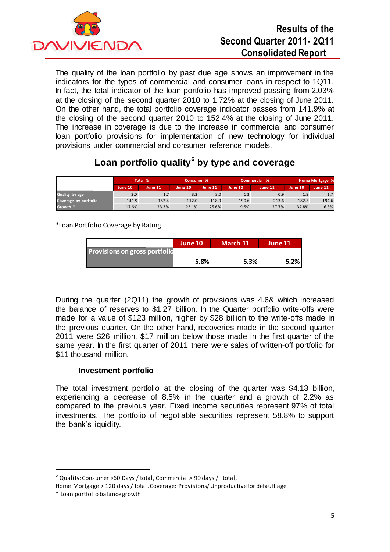

# **Results of the Second Quarter 2011- 2Q11 Consolidated Report**

The quality of the loan portfolio by past due age shows an improvement in the indicators for the types of commercial and consumer loans in respect to 1Q11. In fact, the total indicator of the loan portfolio has improved passing from 2.03% at the closing of the second quarter 2010 to 1.72% at the closing of June 2011. On the other hand, the total portfolio coverage indicator passes from 141.9% at the closing of the second quarter 2010 to 152.4% at the closing of June 2011. The increase in coverage is due to the increase in commercial and consumer loan portfolio provisions for implementation of new technology for individual provisions under commercial and consumer reference models.

# **Loan portfolio quality<sup>6</sup> by type and coverage**

|                       | Total % |         | Consumer % |         | Commercial % |                | Home Mortgage % |                  |
|-----------------------|---------|---------|------------|---------|--------------|----------------|-----------------|------------------|
|                       | June 10 | June 11 | June 10    | June 11 | June 10      | <b>June 11</b> | June 10         | <b>June 11</b>   |
| Quality by age        | 2.0     | 1.7     | 3.2        | 3.0     | 1.3          | 0.9            | 1.9             | 1.7 <sub>1</sub> |
| Coverage by portfolio | 141.9   | 152.4   | 112.0      | 118.9   | 190.6        | 213.6          | 182.5           | 194.6            |
| Growth *              | 17.6%   | 23.3%   | 23.1%      | 25.6%   | 9.5%         | 27.7%          | 32.8%           | 6.8%             |

\*Loan Portfolio Coverage by Rating

|                                      | June 10 | March 11 | . June 11' |
|--------------------------------------|---------|----------|------------|
| <b>Provisions on gross portfolio</b> |         |          |            |
|                                      | 5.8%    | 5.3%     | 5.2%       |

During the quarter (2Q11) the growth of provisions was 4.6& which increased the balance of reserves to \$1.27 billion. In the Quarter portfolio write-offs were made for a value of \$123 million, higher by \$28 billion to the write-offs made in the previous quarter. On the other hand, recoveries made in the second quarter 2011 were \$26 million, \$17 million below those made in the first quarter of the same year. In the first quarter of 2011 there were sales of written-off portfolio for \$11 thousand million.

### **Investment portfolio**

The total investment portfolio at the closing of the quarter was \$4.13 billion, experiencing a decrease of 8.5% in the quarter and a growth of 2.2% as compared to the previous year. Fixed income securities represent 97% of total investments. The portfolio of negotiable securities represent 58.8% to support the bank's liquidity.

 $^6$  Quality: Consumer >60 Days / total, Commercial > 90 days / total,

Home Mortgage > 120 days / total. Coverage: Provisions/ Unproductive for default age

<sup>\*</sup> Loan portfolio balance growth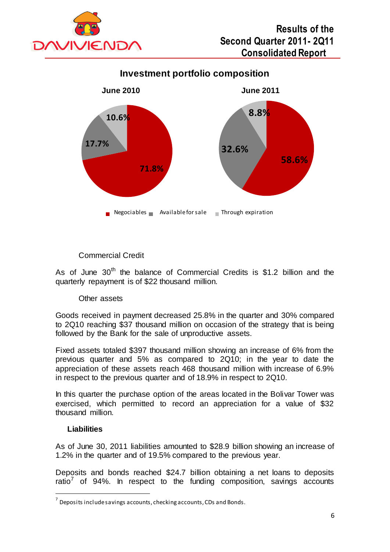

**Investment portfolio composition**



### Commercial Credit

As of June  $30<sup>th</sup>$  the balance of Commercial Credits is \$1.2 billion and the quarterly repayment is of \$22 thousand million.

### Other assets

Goods received in payment decreased 25.8% in the quarter and 30% compared to 2Q10 reaching \$37 thousand million on occasion of the strategy that is being followed by the Bank for the sale of unproductive assets.

Fixed assets totaled \$397 thousand million showing an increase of 6% from the previous quarter and 5% as compared to 2Q10; in the year to date the appreciation of these assets reach 468 thousand million with increase of 6.9% in respect to the previous quarter and of 18.9% in respect to 2Q10.

In this quarter the purchase option of the areas located in the Bolivar Tower was exercised, which permitted to record an appreciation for a value of \$32 thousand million.

#### **Liabilities**

 $\overline{a}$ 

As of June 30, 2011 liabilities amounted to \$28.9 billion showing an increase of 1.2% in the quarter and of 19.5% compared to the previous year.

Deposits and bonds reached \$24.7 billion obtaining a net loans to deposits ratio<sup>7</sup> of 94%. In respect to the funding composition, savings accounts

 $^7$  Deposits include savings accounts, checking accounts, CDs and Bonds.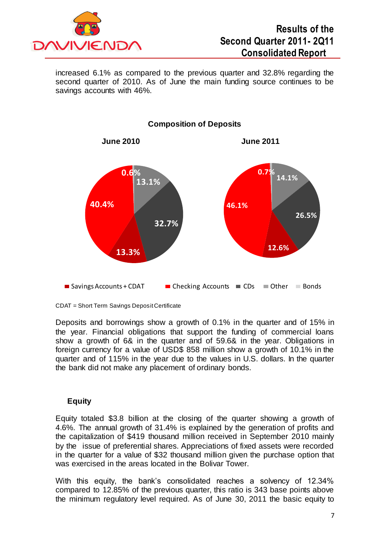

increased 6.1% as compared to the previous quarter and 32.8% regarding the second quarter of 2010. As of June the main funding source continues to be savings accounts with 46%.



#### **Composition of Deposits**

CDAT = Short Term Savings Deposit Certificate

Deposits and borrowings show a growth of 0.1% in the quarter and of 15% in the year. Financial obligations that support the funding of commercial loans show a growth of 6& in the quarter and of 59.6& in the year. Obligations in foreign currency for a value of USD\$ 858 million show a growth of 10.1% in the quarter and of 115% in the year due to the values in U.S. dollars. In the quarter the bank did not make any placement of ordinary bonds.

### **Equity**

Equity totaled \$3.8 billion at the closing of the quarter showing a growth of 4.6%. The annual growth of 31.4% is explained by the generation of profits and the capitalization of \$419 thousand million received in September 2010 mainly by the issue of preferential shares. Appreciations of fixed assets were recorded in the quarter for a value of \$32 thousand million given the purchase option that was exercised in the areas located in the Bolivar Tower.

With this equity, the bank's consolidated reaches a solvency of 12.34% compared to 12.85% of the previous quarter, this ratio is 343 base points above the minimum regulatory level required. As of June 30, 2011 the basic equity to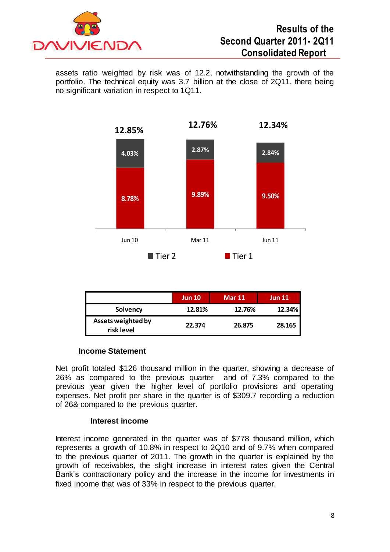

assets ratio weighted by risk was of 12.2, notwithstanding the growth of the portfolio. The technical equity was 3.7 billion at the close of 2Q11, there being no significant variation in respect to 1Q11.



|                                  | <b>Jun 10</b> | <b>Mar 11</b> | <b>Jun 11</b> |
|----------------------------------|---------------|---------------|---------------|
| Solvency                         | 12.81%        | 12.76%        | 12.34%        |
| Assets weighted by<br>risk level | 22.374        | 26.875        | 28.165        |

#### **Income Statement**

Net profit totaled \$126 thousand million in the quarter, showing a decrease of 26% as compared to the previous quarter and of 7.3% compared to the previous year given the higher level of portfolio provisions and operating expenses. Net profit per share in the quarter is of \$309.7 recording a reduction of 26& compared to the previous quarter.

#### **Interest income**

Interest income generated in the quarter was of \$778 thousand million, which represents a growth of 10.8% in respect to 2Q10 and of 9.7% when compared to the previous quarter of 2011. The growth in the quarter is explained by the growth of receivables, the slight increase in interest rates given the Central Bank's contractionary policy and the increase in the income for investments in fixed income that was of 33% in respect to the previous quarter.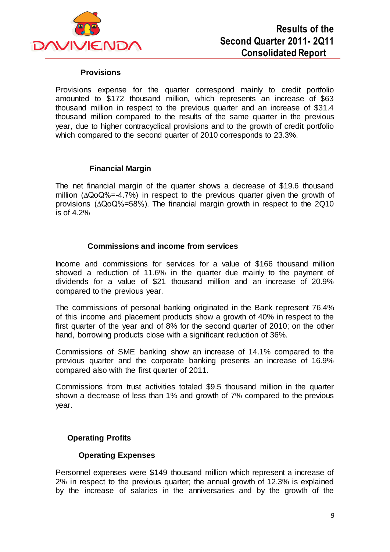

#### **Provisions**

Provisions expense for the quarter correspond mainly to credit portfolio amounted to \$172 thousand million, which represents an increase of \$63 thousand million in respect to the previous quarter and an increase of \$31.4 thousand million compared to the results of the same quarter in the previous year, due to higher contracyclical provisions and to the growth of credit portfolio which compared to the second quarter of 2010 corresponds to 23.3%.

#### **Financial Margin**

The net financial margin of the quarter shows a decrease of \$19.6 thousand million (∆QoQ%=-4.7%) in respect to the previous quarter given the growth of provisions (∆QoQ%=58%). The financial margin growth in respect to the 2Q10 is of 4.2%

#### **Commissions and income from services**

Income and commissions for services for a value of \$166 thousand million showed a reduction of 11.6% in the quarter due mainly to the payment of dividends for a value of \$21 thousand million and an increase of 20.9% compared to the previous year.

The commissions of personal banking originated in the Bank represent 76.4% of this income and placement products show a growth of 40% in respect to the first quarter of the year and of 8% for the second quarter of 2010; on the other hand, borrowing products close with a significant reduction of 36%.

Commissions of SME banking show an increase of 14.1% compared to the previous quarter and the corporate banking presents an increase of 16.9% compared also with the first quarter of 2011.

Commissions from trust activities totaled \$9.5 thousand million in the quarter shown a decrease of less than 1% and growth of 7% compared to the previous year.

#### **Operating Profits**

#### **Operating Expenses**

Personnel expenses were \$149 thousand million which represent a increase of 2% in respect to the previous quarter; the annual growth of 12.3% is explained by the increase of salaries in the anniversaries and by the growth of the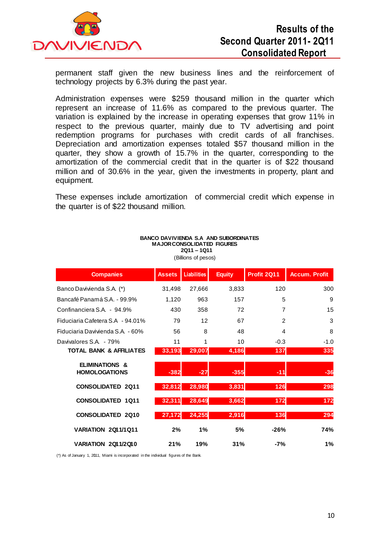

permanent staff given the new business lines and the reinforcement of technology projects by 6.3% during the past year.

Administration expenses were \$259 thousand million in the quarter which represent an increase of 11.6% as compared to the previous quarter. The variation is explained by the increase in operating expenses that grow 11% in respect to the previous quarter, mainly due to TV advertising and point redemption programs for purchases with credit cards of all franchises. Depreciation and amortization expenses totaled \$57 thousand million in the quarter, they show a growth of 15.7% in the quarter, corresponding to the amortization of the commercial credit that in the quarter is of \$22 thousand million and of 30.6% in the year, given the investments in property, plant and equipment.

These expenses include amortization of commercial credit which expense in the quarter is of \$22 thousand million.

| <b>Companies</b>                                  | <b>Assets</b> | <b>Liabilities</b> | <b>Equity</b> | Profit 2Q11    | <b>Accum. Profit</b> |
|---------------------------------------------------|---------------|--------------------|---------------|----------------|----------------------|
| Banco Davivienda S.A. (*)                         | 31,498        | 27,666             | 3,833         | 120            | 300                  |
| Bancafé Panamá S.A. - 99.9%                       | 1,120         | 963                | 157           | 5              | 9                    |
| Confinanciera S.A. - 94.9%                        | 430           | 358                | 72            | 7              | 15                   |
| Fiduciaria Cafetera S.A - 94.01%                  | 79            | 12                 | 67            | $\overline{2}$ | 3                    |
| Fiduciaria Davivienda S.A. - 60%                  | 56            | 8                  | 48            | $\overline{4}$ | 8                    |
| Davivalores S.A. - 79%                            | 11            | 1                  | 10            | $-0.3$         | $-1.0$               |
| <b>TOTAL BANK &amp; AFFILIATES</b>                | 33,193        | 29,007             | 4,186         | 137            | 335                  |
| <b>ELIMINATIONS &amp;</b><br><b>HOMOLOGATIONS</b> | $-382$        | $-27$              | $-355$        | -11            | $-36$                |
| <b>CONSOLIDATED 2Q11</b>                          | 32,812        | 28,980             | 3,831         | 126            | 298                  |
| <b>CONSOLIDATED 1Q11</b>                          | 32,311        | 28,649             | 3,662         | 172            | 172                  |
| <b>CONSOLIDATED 2Q10</b>                          | 27,172        | 24,255             | 2,916         | 136            | 294                  |
| <b>VARIATION 2011/1011</b>                        | 2%            | 1%                 | 5%            | $-26%$         | 74%                  |
| VARIATION 2011/2010                               | 21%           | 19%                | 31%           | $-7%$          | 1%                   |

#### **BANCO DAVIVIENDA S.A AND SUBORDINATES MAJOR CONSOLIDATED FIGURES 2Q11 – 1Q11**

(Billions of pesos)

(\*) As of January 1, 2011, Miami is incorporated in the individual figures of the Bank. 1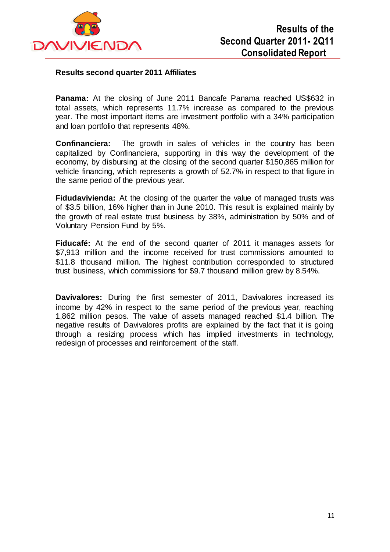

#### **Results second quarter 2011 Affiliates**

**Panama:** At the closing of June 2011 Bancafe Panama reached US\$632 in total assets, which represents 11.7% increase as compared to the previous year. The most important items are investment portfolio with a 34% participation and loan portfolio that represents 48%.

**Confinanciera:** The growth in sales of vehicles in the country has been capitalized by Confinanciera, supporting in this way the development of the economy, by disbursing at the closing of the second quarter \$150,865 million for vehicle financing, which represents a growth of 52.7% in respect to that figure in the same period of the previous year.

**Fidudavivienda:** At the closing of the quarter the value of managed trusts was of \$3.5 billion, 16% higher than in June 2010. This result is explained mainly by the growth of real estate trust business by 38%, administration by 50% and of Voluntary Pension Fund by 5%.

**Fiducafé:** At the end of the second quarter of 2011 it manages assets for \$7,913 million and the income received for trust commissions amounted to \$11.8 thousand million. The highest contribution corresponded to structured trust business, which commissions for \$9.7 thousand million grew by 8.54%.

**Davivalores:** During the first semester of 2011, Davivalores increased its income by 42% in respect to the same period of the previous year, reaching 1,862 million pesos. The value of assets managed reached \$1.4 billion. The negative results of Davivalores profits are explained by the fact that it is going through a resizing process which has implied investments in technology, redesign of processes and reinforcement of the staff.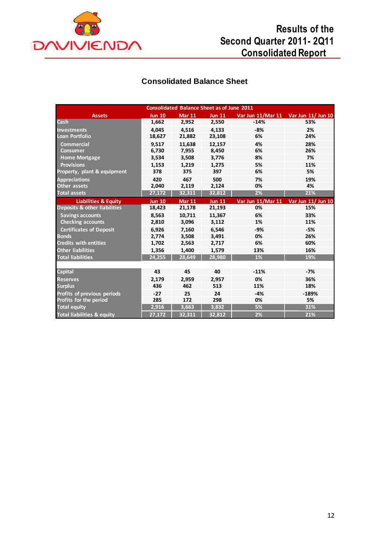

# **Results of the Second Quarter 2011- 2Q11 Consolidated Report**

# **Consolidated Balance Sheet**

| <b>Consolidated Balance Sheet as of June 2011</b> |               |                                |               |                   |                                      |  |  |
|---------------------------------------------------|---------------|--------------------------------|---------------|-------------------|--------------------------------------|--|--|
| <b>Assets</b>                                     | <b>Jun 10</b> | <b>Mar 11</b><br><b>Jun 11</b> |               |                   | Var Jun 11/Mar 11 Var Jun 11/ Jun 10 |  |  |
| <b>Cash</b>                                       | 1,662         | 2,952                          | 2,550         | $-14%$            | 53%                                  |  |  |
| <b>Investments</b>                                | 4.045         | 4,516                          | 4,133         | $-8%$             | 2%                                   |  |  |
| <b>Loan Portfolio</b>                             | 18,627        | 21,882                         | 23,108        | 6%                | 24%                                  |  |  |
| <b>Commercial</b>                                 | 9.517         | 11.638                         | 12.157        | 4%                | 28%                                  |  |  |
| <b>Consumer</b>                                   | 6,730         | 7,955                          | 8,450         | 6%                | 26%                                  |  |  |
| <b>Home Mortgage</b>                              | 3,534         | 3,508                          | 3,776         | 8%                | 7%                                   |  |  |
| <b>Provisions</b>                                 | 1,153         | 1,219                          | 1,275         | 5%                | 11%                                  |  |  |
| Property, plant & equipment                       | 378           | 375                            | 397           | 6%                | 5%                                   |  |  |
| <b>Appreciations</b>                              | 420           | 467                            | 500           | 7%                | 19%                                  |  |  |
| <b>Other assets</b>                               | 2,040         | 2,119                          | 2,124         | 0%                | 4%                                   |  |  |
| <b>Total assets</b>                               | 27,172        | 32,311                         | 32,812        | 2%                | 21%                                  |  |  |
| <b>Liabilities &amp; Equity</b>                   | <b>Jun 10</b> | <b>Mar 11</b>                  | <b>Jun 11</b> | Var Jun 11/Mar 11 | Var Jun 11/ Jun 10                   |  |  |
| <b>Deposits &amp; other liabilities</b>           | 18,423        | 21,178                         | 21,193        | 0%                | 15%                                  |  |  |
| <b>Savings accounts</b>                           | 8,563         | 10,711                         | 11,367        | 6%                | 33%                                  |  |  |
| <b>Checking accounts</b>                          | 2,810         | 3,096                          | 3,112         | 1%                | 11%                                  |  |  |
| <b>Certificates of Deposit</b>                    | 6.926         | 7.160                          | 6.546         | $-9%$             | -5%                                  |  |  |
| <b>Bonds</b>                                      | 2,774         | 3,508                          | 3,491         | 0%                | 26%                                  |  |  |
| <b>Credits with entities</b>                      | 1,702         | 2,563                          | 2,717         | 6%                | 60%                                  |  |  |
| <b>Other liabilities</b>                          | 1,356         | 1,400                          | 1,579         | 13%               | 16%                                  |  |  |
| <b>Total liabilities</b>                          | 24,255        | 28,649                         | 28,980        | 1%                | 19%                                  |  |  |
|                                                   |               |                                |               |                   |                                      |  |  |
| <b>Capital</b>                                    | 43            | 45                             | 40            | $-11%$            | $-7%$                                |  |  |
| <b>Reserves</b>                                   | 2,179         | 2,959                          | 2,957         | 0%                | 36%                                  |  |  |
| <b>Surplus</b>                                    | 436           | 462                            | 513           | 11%               | 18%                                  |  |  |
| Profits of previous periods                       | $-27$         | 25                             | 24            | $-4%$             | $-189%$                              |  |  |
| Profits for the period                            | 285           | 172                            | 298           | 0%                | 5%                                   |  |  |
| <b>Total equity</b>                               | 2,916         | 3,663                          | 3,832         | 5%                | 31%                                  |  |  |
| <b>Total liabilities &amp; equity</b>             | 27.172        | 32.311                         | 32.812        | 2%                | 21%                                  |  |  |